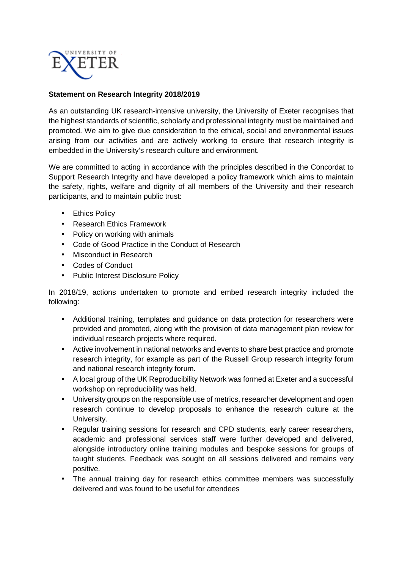

## **Statement on Research Integrity 2018/2019**

As an outstanding UK research-intensive university, the University of Exeter recognises that the highest standards of scientific, scholarly and professional integrity must be maintained and promoted. We aim to give due consideration to the ethical, social and environmental issues arising from our activities and are actively working to ensure that research integrity is embedded in the University's research culture and environment.

We are committed to acting in accordance with the principles described in the Concordat to Support Research Integrity and have developed a policy framework which aims to maintain the safety, rights, welfare and dignity of all members of the University and their research participants, and to maintain public trust:

- Ethics Policy
- Research Ethics Framework
- Policy on working with animals
- Code of Good Practice in the Conduct of Research
- Misconduct in Research
- Codes of Conduct
- Public Interest Disclosure Policy

In 2018/19, actions undertaken to promote and embed research integrity included the following:

- Additional training, templates and guidance on data protection for researchers were provided and promoted, along with the provision of data management plan review for individual research projects where required.
- Active involvement in national networks and events to share best practice and promote research integrity, for example as part of the Russell Group research integrity forum and national research integrity forum.
- A local group of the UK Reproducibility Network was formed at Exeter and a successful workshop on reproducibility was held.
- University groups on the responsible use of metrics, researcher development and open research continue to develop proposals to enhance the research culture at the University.
- Regular training sessions for research and CPD students, early career researchers, academic and professional services staff were further developed and delivered, alongside introductory online training modules and bespoke sessions for groups of taught students. Feedback was sought on all sessions delivered and remains very positive.
- The annual training day for research ethics committee members was successfully delivered and was found to be useful for attendees